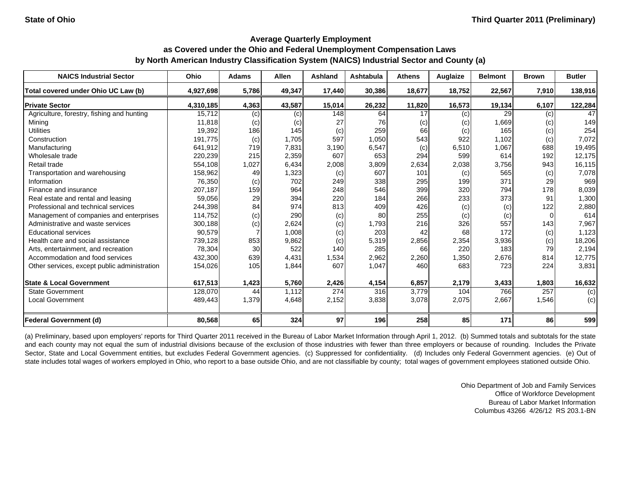| <b>NAICS Industrial Sector</b>               | Ohio      | <b>Adams</b> | <b>Allen</b> | <b>Ashland</b> | Ashtabula | <b>Athens</b> | Auglaize          | <b>Belmont</b> | <b>Brown</b> | <b>Butler</b> |
|----------------------------------------------|-----------|--------------|--------------|----------------|-----------|---------------|-------------------|----------------|--------------|---------------|
| Total covered under Ohio UC Law (b)          | 4,927,698 | 5,786        | 49,347       | 17,440         | 30,386    | 18,677        | 18,752            | 22,567         | 7,910        | 138,916       |
| <b>Private Sector</b>                        | 4,310,185 | 4,363        | 43,587       | 15,014         | 26,232    | 11,820        | 16,573            | 19,134         | 6,107        | 122,284       |
| Agriculture, forestry, fishing and hunting   | 15,712    | (c)          | (c)          | 148            | 64        | 17            | (c)               | 29             | (c)          | 47            |
| Mining                                       | 11,818    | (c)          | (c)          | 27             | 76        | (c)           | (C)               | 1,669          | (c)          | 149           |
| <b>Utilities</b>                             | 19,392    | 186          | 145          | (c)            | 259       | 66            | (c)               | 165            | (c)          | 254           |
| Construction                                 | 191,775   | (c)          | 1,705        | 597            | 1,050     | 543           | 922               | 1,102          | (c)          | 7,072         |
| Manufacturing                                | 641,912   | 719          | 7,831        | 3,190          | 6,547     | (c)           | 6,510             | 1,067          | 688          | 19,495        |
| Wholesale trade                              | 220,239   | 215          | 2,359        | 607            | 653       | 294           | 599               | 614            | 192          | 12,175        |
| Retail trade                                 | 554,108   | 1,027        | 6,434        | 2,008          | 3,809     | 2,634         | 2,038             | 3,756          | 943          | 16,115        |
| Transportation and warehousing               | 158,962   | 49           | 1,323        | (c)            | 607       | 101           | $\left( c\right)$ | 565            | (c)          | 7,078         |
| Information                                  | 76,350    | (c)          | 702          | 249            | 338       | 295           | 199               | 371            | 29           | 969           |
| Finance and insurance                        | 207,187   | 159          | 964          | 248            | 546       | 399           | 320               | 794            | 178          | 8,039         |
| Real estate and rental and leasing           | 59,056    | 29           | 394          | 220            | 184       | 266           | 233               | 373            | 91           | 1,300         |
| Professional and technical services          | 244,398   | 84           | 974          | 813            | 409       | 426           | (c)               | (c)            | 122          | 2,880         |
| Management of companies and enterprises      | 114,752   | (c)          | 290          | (c)            | 80        | 255           | (c)               | (c)            | 0            | 614           |
| Administrative and waste services            | 300,188   | (c)          | 2,624        | (c)            | 1,793     | 216           | 326               | 557            | 143          | 7,967         |
| <b>Educational services</b>                  | 90,579    |              | 1,008        | (c)            | 203       | 42            | 68                | 172            | (c)          | 1,123         |
| Health care and social assistance            | 739,128   | 853          | 9,862        | (c)            | 5,319     | 2,856         | 2,354             | 3,936          | (c)          | 18,206        |
| Arts, entertainment, and recreation          | 78,304    | 30           | 522          | 140            | 285       | 66            | 220               | 183            | 79           | 2,194         |
| Accommodation and food services              | 432,300   | 639          | 4,431        | 1,534          | 2,962     | 2,260         | 1,350             | 2,676          | 814          | 12,775        |
| Other services, except public administration | 154,026   | 105          | 1,844        | 607            | 1,047     | 460           | 683               | 723            | 224          | 3,831         |
| <b>State &amp; Local Government</b>          | 617,513   | 1,423        | 5,760        | 2,426          | 4,154     | 6,857         | 2,179             | 3,433          | 1,803        | 16,632        |
| <b>State Government</b>                      | 128,070   | 44           | 1,112        | 274            | 316       | 3,779         | 104               | 766            | 257          | (c)           |
| <b>Local Government</b>                      | 489,443   | 1,379        | 4,648        | 2,152          | 3,838     | 3,078         | 2,075             | 2,667          | 1,546        | (c)           |
| <b>Federal Government (d)</b>                | 80,568    | 65           | 324          | 97             | 196       | 258           | 85                | 171            | 86           | 599           |

(a) Preliminary, based upon employers' reports for Third Quarter 2011 received in the Bureau of Labor Market Information through April 1, 2012. (b) Summed totals and subtotals for the state and each county may not equal the sum of industrial divisions because of the exclusion of those industries with fewer than three employers or because of rounding. Includes the Private Sector, State and Local Government entities, but excludes Federal Government agencies. (c) Suppressed for confidentiality. (d) Includes only Federal Government agencies. (e) Out of state includes total wages of workers employed in Ohio, who report to a base outside Ohio, and are not classifiable by county; total wages of government employees stationed outside Ohio.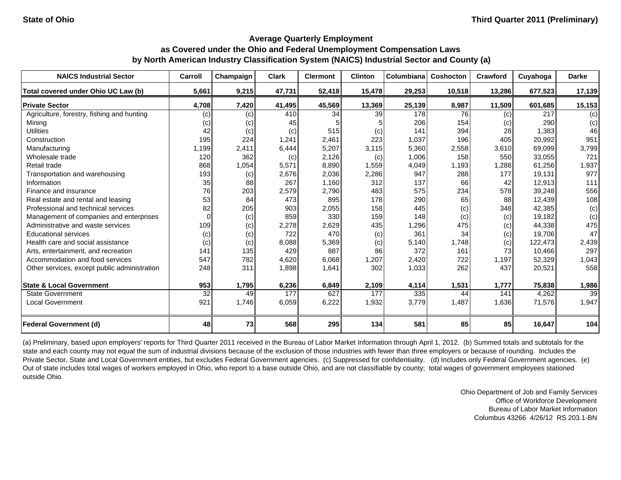| <b>NAICS Industrial Sector</b>               | Carroll  | Champaign | <b>Clark</b> | <b>Clermont</b> | <b>Clinton</b> | Columbiana | Coshocton | Crawford | Cuyahoga | <b>Darke</b> |
|----------------------------------------------|----------|-----------|--------------|-----------------|----------------|------------|-----------|----------|----------|--------------|
| Total covered under Ohio UC Law (b)          | 5,661    | 9,215     | 47,731       | 52,418          | 15,478         | 29,253     | 10,518    | 13,286   | 677,523  | 17,139       |
| <b>Private Sector</b>                        | 4,708    | 7,420     | 41,495       | 45,569          | 13,369         | 25,139     | 8,987     | 11,509   | 601,685  | 15,153       |
| Agriculture, forestry, fishing and hunting   | (c)      | (c)       | 410          | 34              | 39             | 178        | 76        | (c)      | 217      | (c)          |
| Mining                                       | (c)      | (c)       | 45           |                 |                | 206        | 154       | (c)      | 290      | (c)          |
| <b>Utilities</b>                             | 42       | (c)       | (c)          | 515             | (c)            | 141        | 394       | 28       | 1,383    | 46           |
| Construction                                 | 195      | 224       | 1,241        | 2,461           | 223            | 1,037      | 196       | 405      | 20,992   | 951          |
| Manufacturing                                | 1,199    | 2,411     | 6,444        | 5,207           | 3,115          | 5,360      | 2,558     | 3,610    | 69,099   | 3,799        |
| Wholesale trade                              | 120      | 362       | (c)          | 2,126           | (c)            | 1,006      | 158       | 550      | 33,055   | 721          |
| Retail trade                                 | 868      | 1,054     | 5,571        | 8,890           | 1,559          | 4,049      | 1,193     | 1,288    | 61,256   | 1,937        |
| Transportation and warehousing               | 193      | (c)       | 2,676        | 2,036           | 2,286          | 947        | 288       | 177      | 19,131   | 977          |
| Information                                  | 35       | 88        | 267          | 1,160           | 312            | 137        | 66        | 42       | 12,913   | 111          |
| Finance and insurance                        | 76       | 203       | 2,579        | 2,790           | 483            | 575        | 234       | 578      | 39,248   | 556          |
| Real estate and rental and leasing           | 53       | 84        | 473          | 895             | 178            | 290        | 65        | 88       | 12,439   | 108          |
| Professional and technical services          | 82       | 205       | 903          | 2,055           | 158            | 445        | (c)       | 348      | 42,385   | (c)          |
| Management of companies and enterprises      | $\Omega$ | (c)       | 859          | 330             | 159            | 148        | (c)       | (c)      | 19,182   | (c)          |
| Administrative and waste services            | 109      | (c)       | 2,278        | 2,629           | 435            | ,296       | 475       | (c)      | 44,338   | 475          |
| <b>Educational services</b>                  | (c)      | (c)       | 722          | 470             | (c)            | 361        | 34        | (c)      | 19,706   | 47           |
| Health care and social assistance            | (c)      | (c)       | 8.088        | 5,369           | (c)            | 5,140      | 1,748     | (c)      | 122,473  | 2,439        |
| Arts, entertainment, and recreation          | 141      | 135       | 429          | 887             | 86             | 372        | 161       | 73       | 10,466   | 297          |
| Accommodation and food services              | 547      | 782       | 4,620        | 6,068           | 1,207          | 2,420      | 722       | 1,197    | 52,329   | 1,043        |
| Other services, except public administration | 248      | 311       | 1,898        | 1,641           | 302            | 1,033      | 262       | 437      | 20,521   | 558          |
| <b>State &amp; Local Government</b>          | 953      | 1,795     | 6,236        | 6,849           | 2,109          | 4,114      | 1,531     | 1,777    | 75,838   | 1,986        |
| <b>State Government</b>                      | 32       | 49        | 177          | 627             | 177            | 335        | 44        | 141      | 4,262    | 39           |
| Local Government                             | 921      | 1,746     | 6,059        | 6,222           | 1,932          | 3,779      | 1,487     | 1,636    | 71,576   | 1,947        |
| <b>Federal Government (d)</b>                | 48       | 73        | 568          | 295             | 134            | 581        | 85        | 85       | 16,647   | 104          |

(a) Preliminary, based upon employers' reports for Third Quarter 2011 received in the Bureau of Labor Market Information through April 1, 2012. (b) Summed totals and subtotals for the state and each county may not equal the sum of industrial divisions because of the exclusion of those industries with fewer than three employers or because of rounding. Includes the Private Sector, State and Local Government entities, but excludes Federal Government agencies. (c) Suppressed for confidentiality. (d) Includes only Federal Government agencies. (e) Out of state includes total wages of workers employed in Ohio, who report to a base outside Ohio, and are not classifiable by county; total wages of government employees stationed outside Ohio.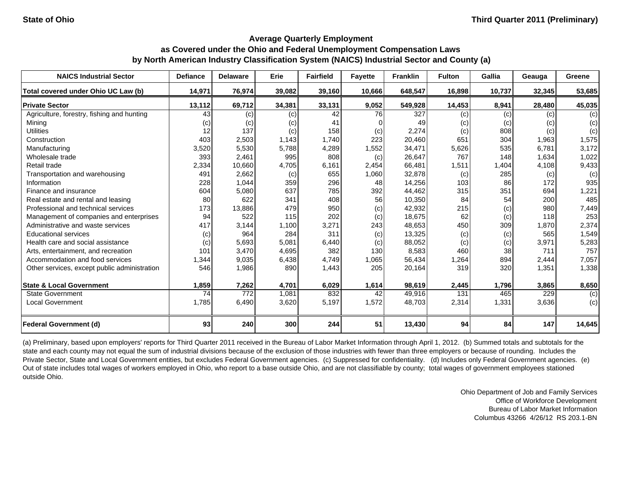| <b>NAICS Industrial Sector</b>               | <b>Defiance</b> | <b>Delaware</b> | Erie   | <b>Fairfield</b> | <b>Fayette</b> | <b>Franklin</b> | <b>Fulton</b> | Gallia | Geauga | Greene |
|----------------------------------------------|-----------------|-----------------|--------|------------------|----------------|-----------------|---------------|--------|--------|--------|
| Total covered under Ohio UC Law (b)          | 14,971          | 76,974          | 39,082 | 39,160           | 10,666         | 648,547         | 16,898        | 10,737 | 32,345 | 53,685 |
| <b>Private Sector</b>                        | 13,112          | 69,712          | 34,381 | 33,131           | 9,052          | 549,928         | 14,453        | 8,941  | 28,480 | 45,035 |
| Agriculture, forestry, fishing and hunting   | 43              | (c)             | (c)    | 42               | 76             | 327             | (c)           | (c)    | (c)    | (c)    |
| Mining                                       | (c)             | (c)             | (c)    | 41               |                | 49              | (c)           | (c)    | (c)    | (c)    |
| <b>Utilities</b>                             | 12              | 137             | (c)    | 158              | (c)            | 2,274           | (c)           | 808    | (c)    | (c)    |
| Construction                                 | 403             | 2,503           | 1,143  | 1,740            | 223            | 20,460          | 651           | 304    | 1,963  | 1,575  |
| Manufacturing                                | 3,520           | 5,530           | 5,788  | 4,289            | 1,552          | 34,471          | 5,626         | 535    | 6,781  | 3,172  |
| Wholesale trade                              | 393             | 2,461           | 995    | 808              | (c)            | 26,647          | 767           | 148    | 1,634  | 1,022  |
| Retail trade                                 | 2,334           | 10,660          | 4,705  | 6,161            | 2,454          | 66,481          | 1,511         | 1,404  | 4,108  | 9,433  |
| Transportation and warehousing               | 491             | 2,662           | (c)    | 655              | 1,060          | 32,878          | (c)           | 285    | (c)    | (c)    |
| Information                                  | 228             | 1,044           | 359    | 296              | 48             | 14,256          | 103           | 86     | 172    | 935    |
| Finance and insurance                        | 604             | 5,080           | 637    | 785              | 392            | 44,462          | 315           | 351    | 694    | 1,221  |
| Real estate and rental and leasing           | 80              | 622             | 341    | 408              | 56             | 10,350          | 84            | 54     | 200    | 485    |
| Professional and technical services          | 173             | 13,886          | 479    | 950              | (c)            | 42,932          | 215           | (c)    | 980    | 7,449  |
| Management of companies and enterprises      | 94              | 522             | 115    | 202              | (c)            | 18,675          | 62            | (c)    | 118    | 253    |
| Administrative and waste services            | 417             | 3,144           | 1,100  | 3,271            | 243            | 48,653          | 450           | 309    | 1,870  | 2,374  |
| <b>Educational services</b>                  | (c)             | 964             | 284    | 311              | (c)            | 13,325          | (c)           | (c)    | 565    | 1,549  |
| Health care and social assistance            | (c)             | 5,693           | 5,081  | 6,440            | (c)            | 88,052          | (c)           | (c)    | 3,971  | 5,283  |
| Arts, entertainment, and recreation          | 101             | 3,470           | 4,695  | 382              | 130            | 8,583           | 460           | 38     | 711    | 757    |
| Accommodation and food services              | 1,344           | 9,035           | 6,438  | 4,749            | 1,065          | 56,434          | 1,264         | 894    | 2,444  | 7,057  |
| Other services, except public administration | 546             | 1,986           | 890    | 1,443            | 205            | 20,164          | 319           | 320    | 1,351  | 1,338  |
| <b>State &amp; Local Government</b>          | 1,859           | 7,262           | 4,701  | 6,029            | 1,614          | 98,619          | 2,445         | 1,796  | 3,865  | 8,650  |
| <b>State Government</b>                      | 74              | 772             | 1.081  | 832              | 42             | 49,916          | 131           | 465    | 229    | (c)    |
| <b>Local Government</b>                      | 1,785           | 6,490           | 3,620  | 5,197            | 1,572          | 48,703          | 2,314         | 1,331  | 3,636  | (c)    |
| <b>Federal Government (d)</b>                | 93              | 240             | 300    | 244              | 51             | 13,430          | 94            | 84     | 147    | 14,645 |

(a) Preliminary, based upon employers' reports for Third Quarter 2011 received in the Bureau of Labor Market Information through April 1, 2012. (b) Summed totals and subtotals for the state and each county may not equal the sum of industrial divisions because of the exclusion of those industries with fewer than three employers or because of rounding. Includes the Private Sector, State and Local Government entities, but excludes Federal Government agencies. (c) Suppressed for confidentiality. (d) Includes only Federal Government agencies. (e) Out of state includes total wages of workers employed in Ohio, who report to a base outside Ohio, and are not classifiable by county; total wages of government employees stationed outside Ohio.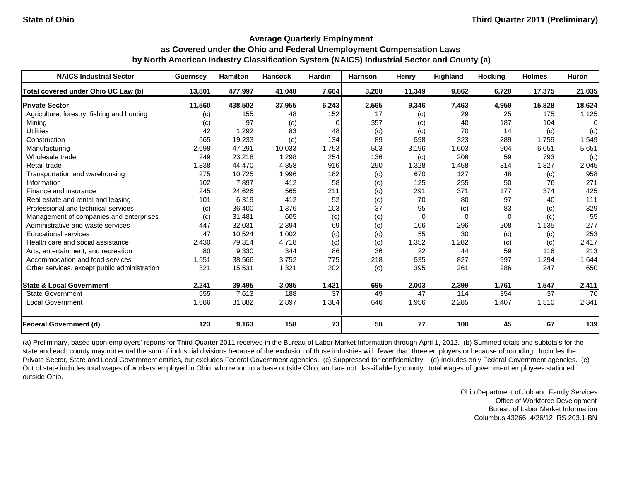| <b>NAICS Industrial Sector</b>               | <b>Guernsey</b> | <b>Hamilton</b> | <b>Hancock</b> | <b>Hardin</b> | <b>Harrison</b> | Henry    | Highland | <b>Hocking</b> | <b>Holmes</b> | <b>Huron</b> |
|----------------------------------------------|-----------------|-----------------|----------------|---------------|-----------------|----------|----------|----------------|---------------|--------------|
| Total covered under Ohio UC Law (b)          | 13,801          | 477,997         | 41,040         | 7,664         | 3,260           | 11,349   | 9,862    | 6,720          | 17,375        | 21,035       |
| <b>Private Sector</b>                        | 11,560          | 438,502         | 37,955         | 6,243         | 2,565           | 9,346    | 7,463    | 4,959          | 15,828        | 18,624       |
| Agriculture, forestry, fishing and hunting   | (c)             | 155             | 48             | 152           | 17              | (c)      | 29       | 25             | 175           | 1,125        |
| Mining                                       | (c)             | 97              | (c)            | $\Omega$      | 357             | (c)      | 40       | 187            | 104           | $\Omega$     |
| <b>Utilities</b>                             | 42              | 1,292           | 83             | 48            | (c)             | (c)      | 70       | 14             | (c)           | (c)          |
| Construction                                 | 565             | 19,233          | (c)            | 134           | 89              | 598      | 323      | 289            | 1,759         | 1,549        |
| Manufacturing                                | 2,698           | 47,291          | 10,033         | 1,753         | 503             | 3,196    | 1,603    | 904            | 6,051         | 5,651        |
| Wholesale trade                              | 249             | 23,218          | 1,298          | 254           | 136             | (c)      | 206      | 59             | 793           | (c)          |
| Retail trade                                 | 1,838           | 44,470          | 4,858          | 916           | 290             | 1,328    | 1,458    | 814            | 1,827         | 2,045        |
| Transportation and warehousing               | 275             | 10,725          | 1,996          | 182           | (c)             | 670      | 127      | 48             | (c)           | 958          |
| Information                                  | 102             | 7,897           | 412            | 58            | (c)             | 125      | 255      | 50             | 76            | 271          |
| Finance and insurance                        | 245             | 24,626          | 565            | 211           | (c)             | 291      | 371      | 177            | 374           | 425          |
| Real estate and rental and leasing           | 101             | 6,319           | 412            | 52            | (c)             | 70       | 80       | 97             | 40            | 111          |
| Professional and technical services          | (c)             | 36,400          | 1,376          | 103           | 37              | 95       | (c)      | 83             | (c)           | 329          |
| Management of companies and enterprises      | (c)             | 31,481          | 605            | (c)           | (c)             | $\Omega$ |          |                | (c)           | 55           |
| Administrative and waste services            | 447             | 32,031          | 2,394          | 69            | (c)             | 106      | 296      | 208            | 1,135         | 277          |
| <b>Educational services</b>                  | 47              | 10,524          | 1,002          | (c)           | (c)             | 55       | 30       | (c)            | (c)           | 253          |
| Health care and social assistance            | 2,430           | 79,314          | 4,718          | (c)           | (c)             | 1,352    | 1,282    | (c)            | (c)           | 2,417        |
| Arts, entertainment, and recreation          | 80              | 9,330           | 344            | 86            | 36              | 22       | 44       | 59             | 116           | 213          |
| Accommodation and food services              | 1,551           | 38,566          | 3,752          | 775           | 218             | 535      | 827      | 997            | 1,294         | 1,644        |
| Other services, except public administration | 321             | 15,531          | 1,321          | 202           | (c)             | 395      | 261      | 286            | 247           | 650          |
| <b>State &amp; Local Government</b>          | 2,241           | 39,495          | 3,085          | 1,421         | 695             | 2,003    | 2,399    | 1,761          | 1,547         | 2,411        |
| <b>State Government</b>                      | 555             | 7,613           | 188            | 37            | 49              | 47       | 114      | 354            | 37            | 70           |
| <b>Local Government</b>                      | 1,686           | 31,882          | 2,897          | 1,384         | 646             | 1,956    | 2,285    | 1,407          | 1,510         | 2,341        |
| <b>Federal Government (d)</b>                | 123             | 9,163           | 158            | 73            | 58              | 77       | 108      | 45             | 67            | 139          |

(a) Preliminary, based upon employers' reports for Third Quarter 2011 received in the Bureau of Labor Market Information through April 1, 2012. (b) Summed totals and subtotals for the state and each county may not equal the sum of industrial divisions because of the exclusion of those industries with fewer than three employers or because of rounding. Includes the Private Sector, State and Local Government entities, but excludes Federal Government agencies. (c) Suppressed for confidentiality. (d) Includes only Federal Government agencies. (e) Out of state includes total wages of workers employed in Ohio, who report to a base outside Ohio, and are not classifiable by county; total wages of government employees stationed outside Ohio.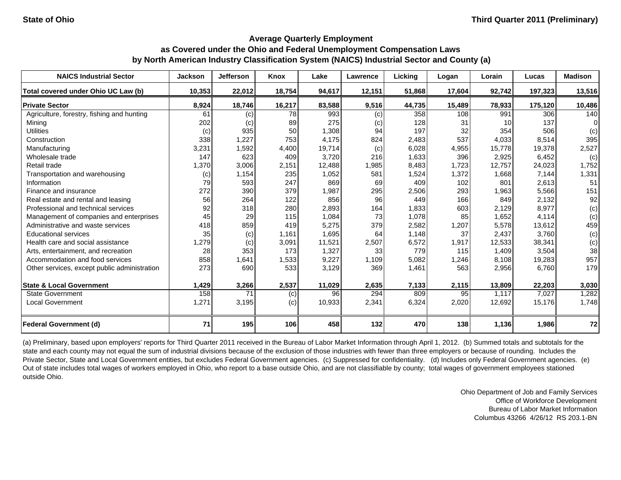| <b>NAICS Industrial Sector</b>               | <b>Jackson</b> | Jefferson         | Knox   | Lake   | Lawrence | Licking | Logan  | Lorain          | Lucas   | <b>Madison</b> |
|----------------------------------------------|----------------|-------------------|--------|--------|----------|---------|--------|-----------------|---------|----------------|
| Total covered under Ohio UC Law (b)          | 10,353         | 22,012            | 18,754 | 94,617 | 12,151   | 51,868  | 17,604 | 92,742          | 197,323 | 13,516         |
| <b>Private Sector</b>                        | 8,924          | 18,746            | 16,217 | 83,588 | 9,516    | 44,735  | 15,489 | 78,933          | 175,120 | 10,486         |
| Agriculture, forestry, fishing and hunting   | 61             | (c)               | 78     | 993    | (c)      | 358     | 108    | 991             | 306     | 140            |
| Mining                                       | 202            | $\left( c\right)$ | 89     | 275    | (c)      | 128     | 31     | 10 <sup>1</sup> | 137     | $\Omega$       |
| <b>Utilities</b>                             | (c)            | 935               | 50     | 1,308  | 94       | 197     | 32     | 354             | 506     | (c)            |
| Construction                                 | 338            | 1,227             | 753    | 4,175  | 824      | 2,483   | 537    | 4,033           | 8,514   | 395            |
| Manufacturing                                | 3,231          | 1,592             | 4,400  | 19,714 | (c)      | 6,028   | 4,955  | 15,778          | 19,378  | 2,527          |
| Wholesale trade                              | 147            | 623               | 409    | 3,720  | 216      | 1,633   | 396    | 2,925           | 6,452   | (c)            |
| Retail trade                                 | 1,370          | 3,006             | 2,151  | 12,488 | 1,985    | 8,483   | 1,723  | 12,757          | 24,023  | 1,752          |
| Transportation and warehousing               | (c)            | 1,154             | 235    | 1,052  | 581      | 1,524   | 1,372  | 1,668           | 7,144   | 1,331          |
| Information                                  | 79             | 593               | 247    | 869    | 69       | 409     | 102    | 801             | 2,613   | 51             |
| Finance and insurance                        | 272            | 390               | 379    | 1,987  | 295      | 2,506   | 293    | 1,963           | 5,566   | 151            |
| Real estate and rental and leasing           | 56             | 264               | 122    | 856    | 96       | 449     | 166    | 849             | 2,132   | 92             |
| Professional and technical services          | 92             | 318               | 280    | 2,893  | 164      | 1,833   | 603    | 2,129           | 8,977   | (c)            |
| Management of companies and enterprises      | 45             | 29                | 115    | 1,084  | 73       | 1,078   | 85     | 1,652           | 4,114   | (c)            |
| Administrative and waste services            | 418            | 859               | 419    | 5,275  | 379      | 2,582   | 1,207  | 5,578           | 13,612  | 459            |
| <b>Educational services</b>                  | 35             | (c)               | 1,161  | 1,695  | 64       | 1,148   | 37     | 2,437           | 3.760   | (c)            |
| Health care and social assistance            | 1,279          | (c)               | 3,091  | 11,521 | 2,507    | 6,572   | 1,917  | 12,533          | 38,341  | (c)            |
| Arts, entertainment, and recreation          | 28             | 353               | 173    | 1,327  | 33       | 779     | 115    | 1,409           | 3,504   | 38             |
| Accommodation and food services              | 858            | 1,641             | 1,533  | 9,227  | 1,109    | 5,082   | 1,246  | 8,108           | 19,283  | 957            |
| Other services, except public administration | 273            | 690               | 533    | 3,129  | 369      | 1,461   | 563    | 2,956           | 6,760   | 179            |
| <b>State &amp; Local Government</b>          | 1,429          | 3,266             | 2,537  | 11,029 | 2,635    | 7,133   | 2,115  | 13,809          | 22,203  | 3,030          |
| <b>State Government</b>                      | 158            | 71                | (c)    | 96     | 294      | 809     | 95     | 1,117           | 7,027   | 1,282          |
| <b>Local Government</b>                      | 1,271          | 3,195             | (c)    | 10,933 | 2,341    | 6,324   | 2,020  | 12,692          | 15,176  | 1,748          |
| <b>Federal Government (d)</b>                | 71             | 195               | 106    | 458    | 132      | 470     | 138    | 1,136           | 1,986   | 72             |

(a) Preliminary, based upon employers' reports for Third Quarter 2011 received in the Bureau of Labor Market Information through April 1, 2012. (b) Summed totals and subtotals for the state and each county may not equal the sum of industrial divisions because of the exclusion of those industries with fewer than three employers or because of rounding. Includes the Private Sector, State and Local Government entities, but excludes Federal Government agencies. (c) Suppressed for confidentiality. (d) Includes only Federal Government agencies. (e) Out of state includes total wages of workers employed in Ohio, who report to a base outside Ohio, and are not classifiable by county; total wages of government employees stationed outside Ohio.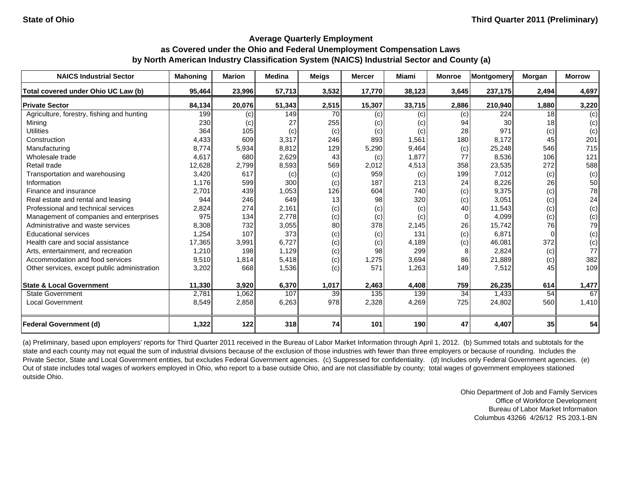| <b>NAICS Industrial Sector</b>               | Mahoning | <b>Marion</b> | <b>Medina</b> | <b>Meigs</b> | <b>Mercer</b> | <b>Miami</b> | <b>Monroe</b> | Montgomery | Morgan          | <b>Morrow</b> |
|----------------------------------------------|----------|---------------|---------------|--------------|---------------|--------------|---------------|------------|-----------------|---------------|
| Total covered under Ohio UC Law (b)          | 95,464   | 23,996        | 57,713        | 3,532        | 17,770        | 38,123       | 3,645         | 237,175    | 2,494           | 4,697         |
| <b>Private Sector</b>                        | 84,134   | 20,076        | 51,343        | 2,515        | 15,307        | 33,715       | 2,886         | 210,940    | 1,880           | 3,220         |
| Agriculture, forestry, fishing and hunting   | 199      | (c)           | 149           | 70           | (c)           | (c)          | (c)           | 224        | 18 <sup>1</sup> | (c)           |
| Mining                                       | 230      | (C)           | 27            | 255          | (c)           | (c)          | 94            | 30         | 18              | (c)           |
| <b>Utilities</b>                             | 364      | 105           | (c)           | (c)          | (c)           | (c)          | 28            | 971        | (c)             | (c)           |
| Construction                                 | 4,433    | 609           | 3,317         | 246          | 893           | 1,561        | 180           | 8,172      | 45              | 201           |
| Manufacturing                                | 8,774    | 5,934         | 8,812         | 129          | 5,290         | 9,464        | (c)           | 25,248     | 546             | 715           |
| Wholesale trade                              | 4,617    | 680           | 2,629         | 43           | (c)           | 1,877        | 77            | 8,536      | 106             | 121           |
| Retail trade                                 | 12,628   | 2,799         | 8,593         | 569          | 2,012         | 4,513        | 358           | 23,535     | 272             | 588           |
| Transportation and warehousing               | 3.420    | 617           | (c)           | (c)          | 959           | (c)          | 199           | 7,012      | (c)             | (c)           |
| Information                                  | 1.176    | 599           | 300           | (c)          | 187           | 213          | 24            | 8,226      | 26              | 50            |
| Finance and insurance                        | 2,701    | 439           | 1,053         | 126          | 604           | 740          | (c)           | 9,375      | (c)             | 78            |
| Real estate and rental and leasing           | 944      | 246           | 649           | 13           | 98            | 320          | (c)           | 3,051      | (c)             | 24            |
| Professional and technical services          | 2,824    | 274           | 2,161         | (c)          | (c)           | (c)          | 40            | 11,543     | (c)             | (c)           |
| Management of companies and enterprises      | 975      | 134           | 2,778         | (c)          | (c)           | (c)          | $\Omega$      | 4,099      | (c)             | (c)           |
| Administrative and waste services            | 8,308    | 732           | 3,055         | 80           | 378           | 2,145        | 26            | 15,742     | 76              | 79            |
| <b>Educational services</b>                  | 1,254    | 107           | 373           | (c)          | (c)           | 131          | (c)           | 6,871      | $\Omega$        | (c)           |
| Health care and social assistance            | 17,365   | 3,991         | 6,727         | (c)          | (c)           | 4,189        | (c)           | 46,081     | 372             | (c)           |
| Arts, entertainment, and recreation          | 1,210    | 198           | 1,129         | (c)          | 98            | 299          |               | 2,824      | (c)             | 77            |
| Accommodation and food services              | 9,510    | 1,814         | 5,418         | (c)          | 1,275         | 3,694        | 86            | 21,889     | (c)             | 382           |
| Other services, except public administration | 3,202    | 668           | 1,536         | (c)          | 571           | 1,263        | 149           | 7,512      | 45              | 109           |
| <b>State &amp; Local Government</b>          | 11,330   | 3,920         | 6,370         | 1,017        | 2,463         | 4,408        | 759           | 26,235     | 614             | 1,477         |
| <b>State Government</b>                      | 2,781    | 1,062         | 107           | 39           | 135           | 139          | 34            | 1,433      | 54              | 67            |
| <b>Local Government</b>                      | 8,549    | 2,858         | 6,263         | 978          | 2,328         | 4,269        | 725           | 24,802     | 560             | 1,410         |
| <b>Federal Government (d)</b>                | 1,322    | 122           | 318           | 74           | 101           | 190          | 47            | 4,407      | 35              | 54            |

(a) Preliminary, based upon employers' reports for Third Quarter 2011 received in the Bureau of Labor Market Information through April 1, 2012. (b) Summed totals and subtotals for the state and each county may not equal the sum of industrial divisions because of the exclusion of those industries with fewer than three employers or because of rounding. Includes the Private Sector, State and Local Government entities, but excludes Federal Government agencies. (c) Suppressed for confidentiality. (d) Includes only Federal Government agencies. (e) Out of state includes total wages of workers employed in Ohio, who report to a base outside Ohio, and are not classifiable by county; total wages of government employees stationed outside Ohio.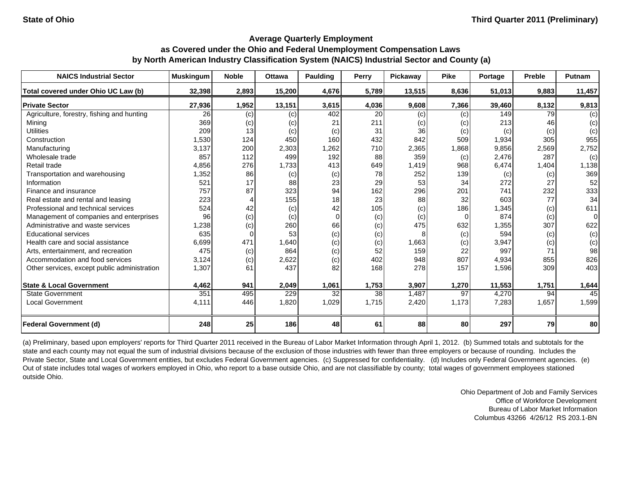| <b>NAICS Industrial Sector</b>               | <b>Muskingum</b> | <b>Noble</b> | <b>Ottawa</b> | Paulding | Perry | Pickaway | <b>Pike</b> | Portage | <b>Preble</b> | <b>Putnam</b> |
|----------------------------------------------|------------------|--------------|---------------|----------|-------|----------|-------------|---------|---------------|---------------|
| Total covered under Ohio UC Law (b)          | 32,398           | 2,893        | 15,200        | 4,676    | 5,789 | 13,515   | 8,636       | 51.013  | 9,883         | 11,457        |
| <b>Private Sector</b>                        | 27,936           | 1,952        | 13,151        | 3,615    | 4,036 | 9,608    | 7,366       | 39,460  | 8,132         | 9,813         |
| Agriculture, forestry, fishing and hunting   | 26               | (c)          | (c)           | 402      | 20    | (c)      | (c)         | 149     | 79            | (c)           |
| Mining                                       | 369              | (c)          | (c)           | 21       | 211   | (c)      | (c)         | 213     | 46            | (c)           |
| <b>Utilities</b>                             | 209              | 13           | (c)           | (c)      | 31    | 36       | (c)         | (c)     | (c)           | (c)           |
| Construction                                 | 1,530            | 124          | 450           | 160      | 432   | 842      | 509         | 1,934   | 305           | 955           |
| Manufacturing                                | 3,137            | 200          | 2,303         | 1,262    | 710   | 2,365    | ,868        | 9,856   | 2,569         | 2,752         |
| Wholesale trade                              | 857              | 112          | 499           | 192      | 88    | 359      | (c)         | 2,476   | 287           | (c)           |
| Retail trade                                 | 4,856            | 276          | 1,733         | 413      | 649   | 1,419    | 968         | 6,474   | 1,404         | 1,138         |
| Transportation and warehousing               | 1,352            | 86           | (c)           | (c)      | 78    | 252      | 139         | (c)     | (c)           | 369           |
| Information                                  | 521              | 17           | 88            | 23       | 29    | 53       | 34          | 272     | 27            | 52            |
| Finance and insurance                        | 757              | 87           | 323           | 94       | 162   | 296      | 201         | 741     | 232           | 333           |
| Real estate and rental and leasing           | 223              |              | 155           | 18       | 23    | 88       | 32          | 603     | 77            | 34            |
| Professional and technical services          | 524              | 42           | (c)           | 42       | 105   | (c)      | 186         | 1,345   | (c)           | 611           |
| Management of companies and enterprises      | 96               | (c)          | (c)           | $\Omega$ | (c)   | (c)      | $\Omega$    | 874     | (c)           | 0             |
| Administrative and waste services            | 1,238            | (c)          | 260           | 66       | (c)   | 475      | 632         | 1,355   | 307           | 622           |
| <b>Educational services</b>                  | 635              | $\Omega$     | 53            | (c)      | (c)   |          | (c)         | 594     | (c)           | (c)           |
| Health care and social assistance            | 6,699            | 471          | 1,640         | (c)      | (c)   | 1,663    | (c)         | 3,947   | (c)           | (c)           |
| Arts, entertainment, and recreation          | 475              | (c)          | 864           | (c)      | 52    | 159      | 22          | 997     | 71            | 98            |
| Accommodation and food services              | 3,124            | (c)          | 2,622         | (c)      | 402   | 948      | 807         | 4,934   | 855           | 826           |
| Other services, except public administration | 1,307            | 61           | 437           | 82       | 168   | 278      | 157         | 1,596   | 309           | 403           |
| <b>State &amp; Local Government</b>          | 4,462            | 941          | 2,049         | 1,061    | 1,753 | 3,907    | 1,270       | 11,553  | 1,751         | 1,644         |
| <b>State Government</b>                      | 351              | 495          | 229           | 32       | 38    | 1,487    | 97          | 4,270   | 94            | 45            |
| Local Government                             | 4,111            | 446          | 1,820         | 1,029    | 1,715 | 2,420    | 1,173       | 7,283   | 1,657         | 1,599         |
| <b>Federal Government (d)</b>                | 248              | 25           | 186           | 48       | 61    | 88       | 80          | 297     | 79            | 80            |

(a) Preliminary, based upon employers' reports for Third Quarter 2011 received in the Bureau of Labor Market Information through April 1, 2012. (b) Summed totals and subtotals for the state and each county may not equal the sum of industrial divisions because of the exclusion of those industries with fewer than three employers or because of rounding. Includes the Private Sector, State and Local Government entities, but excludes Federal Government agencies. (c) Suppressed for confidentiality. (d) Includes only Federal Government agencies. (e) Out of state includes total wages of workers employed in Ohio, who report to a base outside Ohio, and are not classifiable by county; total wages of government employees stationed outside Ohio.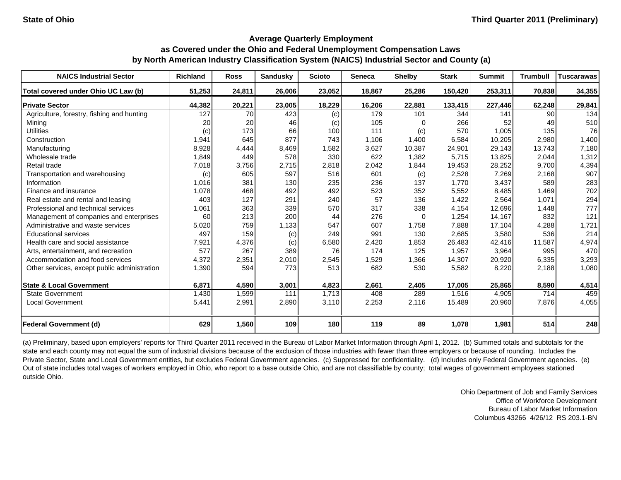| <b>NAICS Industrial Sector</b>               | <b>Richland</b> | <b>Ross</b> | <b>Sandusky</b> | <b>Scioto</b> | <b>Seneca</b> | <b>Shelby</b> | <b>Stark</b> | <b>Summit</b> | <b>Trumbull</b> | <b>Tuscarawas</b> |
|----------------------------------------------|-----------------|-------------|-----------------|---------------|---------------|---------------|--------------|---------------|-----------------|-------------------|
| Total covered under Ohio UC Law (b)          | 51,253          | 24,811      | 26,006          | 23,052        | 18,867        | 25,286        | 150,420      | 253,311       | 70,838          | 34,355            |
| <b>Private Sector</b>                        | 44,382          | 20,221      | 23,005          | 18,229        | 16,206        | 22,881        | 133,415      | 227,446       | 62,248          | 29,841            |
| Agriculture, forestry, fishing and hunting   | 127             | 70          | 423             | (c)           | 179           | 101           | 344          | 141           | 90 l            | 134               |
| Mining                                       | 20              | 20          | 46              | (c)           | 105           |               | 266          | 52            | 49              | 510               |
| <b>Utilities</b>                             | (c)             | 173         | 66              | 100           | 111           | (c)           | 570          | 1,005         | 135             | 76                |
| Construction                                 | 1,941           | 645         | 877             | 743           | 1.106         | 1,400         | 6,584        | 10,205        | 2,980           | 1,400             |
| Manufacturing                                | 8,928           | 4,444       | 8,469           | 1,582         | 3,627         | 10,387        | 24,901       | 29,143        | 13,743          | 7,180             |
| Wholesale trade                              | 1,849           | 449         | 578             | 330           | 622           | 1,382         | 5,715        | 13,825        | 2,044           | 1,312             |
| Retail trade                                 | 7,018           | 3,756       | 2,715           | 2,818         | 2,042         | 1,844         | 19,453       | 28,252        | 9,700           | 4,394             |
| Transportation and warehousing               | (c)             | 605         | 597             | 516           | 601           | (c)           | 2,528        | 7,269         | 2,168           | 907               |
| Information                                  | 1,016           | 381         | 130             | 235           | 236           | 137           | 1,770        | 3,437         | 589             | 283               |
| Finance and insurance                        | 1,078           | 468         | 492             | 492           | 523           | 352           | 5,552        | 8,485         | 1,469           | 702               |
| Real estate and rental and leasing           | 403             | 127         | 291             | 240           | 57            | 136           | 1,422        | 2,564         | 1,071           | 294               |
| Professional and technical services          | 1,061           | 363         | 339             | 570           | 317           | 338           | 4,154        | 12,696        | 1,448           | 777               |
| Management of companies and enterprises      | 60              | 213         | 200             | 44            | 276           | $\Omega$      | 1,254        | 14,167        | 832             | 121               |
| Administrative and waste services            | 5,020           | 759         | 1,133           | 547           | 607           | 1,758         | 7,888        | 17,104        | 4,288           | 1,721             |
| <b>Educational services</b>                  | 497             | 159         | (c)             | 249           | 991           | 130           | 2,685        | 3,580         | 536             | 214               |
| Health care and social assistance            | 7,921           | 4,376       | (c)             | 6,580         | 2,420         | 1,853         | 26,483       | 42,416        | 11,587          | 4,974             |
| Arts, entertainment, and recreation          | 577             | 267         | 389             | 76            | 174           | 125           | 1,957        | 3,964         | 995             | 470               |
| Accommodation and food services              | 4,372           | 2,351       | 2,010           | 2,545         | 1,529         | 1,366         | 14,307       | 20,920        | 6,335           | 3,293             |
| Other services, except public administration | 1,390           | 594         | 773             | 513           | 682           | 530           | 5,582        | 8,220         | 2,188           | 1,080             |
| <b>State &amp; Local Government</b>          | 6,871           | 4,590       | 3,001           | 4,823         | 2,661         | 2,405         | 17,005       | 25,865        | 8,590           | 4,514             |
| <b>State Government</b>                      | 1,430           | 1,599       | 111             | 1,713         | 408           | 289           | 1,516        | 4,905         | 714             | 459               |
| Local Government                             | 5,441           | 2,991       | 2,890           | 3,110         | 2,253         | 2,116         | 15,489       | 20,960        | 7,876           | 4,055             |
| <b>Federal Government (d)</b>                | 629             | 1,560       | 109             | 180           | 119           | 89            | 1,078        | 1,981         | 514             | 248               |

(a) Preliminary, based upon employers' reports for Third Quarter 2011 received in the Bureau of Labor Market Information through April 1, 2012. (b) Summed totals and subtotals for the state and each county may not equal the sum of industrial divisions because of the exclusion of those industries with fewer than three employers or because of rounding. Includes the Private Sector, State and Local Government entities, but excludes Federal Government agencies. (c) Suppressed for confidentiality. (d) Includes only Federal Government agencies. (e) Out of state includes total wages of workers employed in Ohio, who report to a base outside Ohio, and are not classifiable by county; total wages of government employees stationed outside Ohio.